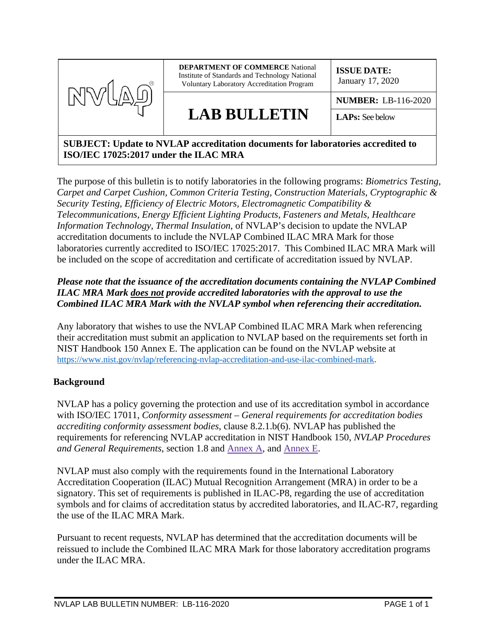

## **SUBJECT: Update to NVLAP accreditation documents for laboratories accredited to ISO/IEC 17025:2017 under the ILAC MRA**

The purpose of this bulletin is to notify laboratories in the following programs: *Biometrics Testing, Carpet and Carpet Cushion, Common Criteria Testing, Construction Materials, Cryptographic & Security Testing, Efficiency of Electric Motors, Electromagnetic Compatibility & Telecommunications, Energy Efficient Lighting Products, Fasteners and Metals, Healthcare Information Technology, Thermal Insulation*, of NVLAP's decision to update the NVLAP accreditation documents to include the NVLAP Combined ILAC MRA Mark for those laboratories currently accredited to ISO/IEC 17025:2017. This Combined ILAC MRA Mark will be included on the scope of accreditation and certificate of accreditation issued by NVLAP.

## *Please note that the issuance of the accreditation documents containing the NVLAP Combined ILAC MRA Mark does not provide accredited laboratories with the approval to use the Combined ILAC MRA Mark with the NVLAP symbol when referencing their accreditation.*

Any laboratory that wishes to use the NVLAP Combined ILAC MRA Mark when referencing their accreditation must submit an application to NVLAP based on the requirements set forth in NIST Handbook 150 Annex E. The application can be found on the NVLAP website at <https://www.nist.gov/nvlap/referencing-nvlap-accreditation-and-use-ilac-combined-mark>.

## **Background**

NVLAP has a policy governing the protection and use of its accreditation symbol in accordance with ISO/IEC 17011, *Conformity assessment – General requirements for accreditation bodies accrediting conformity assessment bodies*, clause 8.2.1.b(6). NVLAP has published the requirements for referencing NVLAP accreditation in NIST Handbook 150, *NVLAP Procedures and General Requirements*, section 1.8 and [Annex A,](https://www.nist.gov/document/nisthb150annexapdf) and [Annex E.](https://www.nist.gov/document/nisthb150annexepdf)

NVLAP must also comply with the requirements found in the International Laboratory Accreditation Cooperation (ILAC) Mutual Recognition Arrangement (MRA) in order to be a signatory. This set of requirements is published in ILAC-P8, regarding the use of accreditation symbols and for claims of accreditation status by accredited laboratories, and ILAC-R7, regarding the use of the ILAC MRA Mark.

Pursuant to recent requests, NVLAP has determined that the accreditation documents will be reissued to include the Combined ILAC MRA Mark for those laboratory accreditation programs under the ILAC MRA.